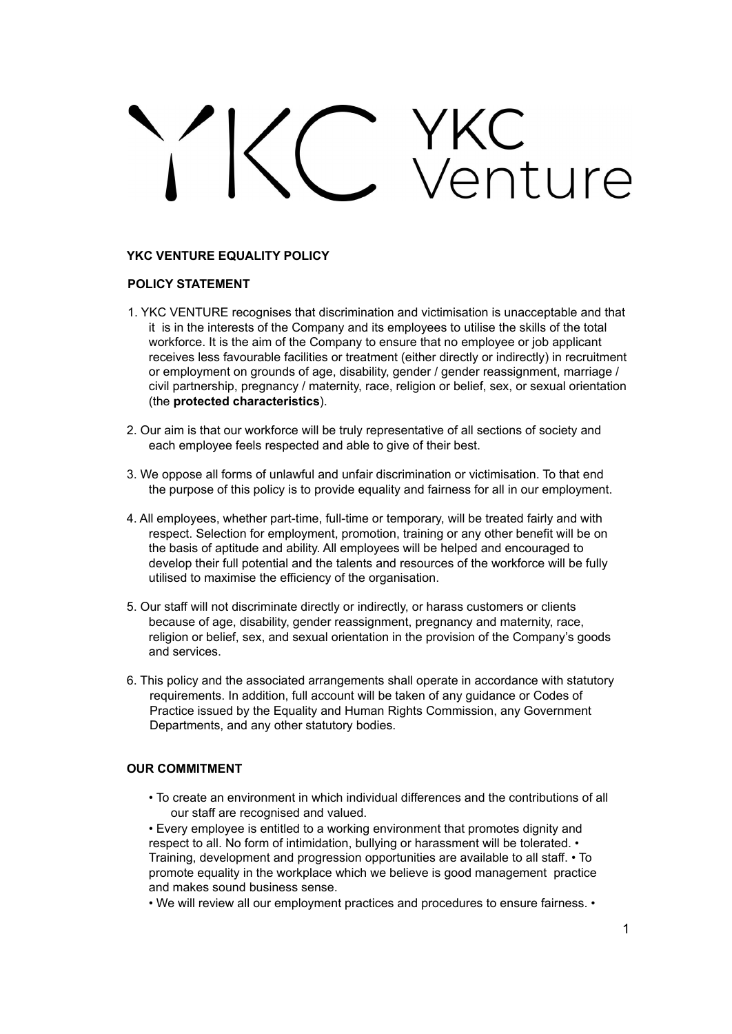# VKC<br>Venture

# **YKC VENTURE EQUALITY POLICY**

# **POLICY STATEMENT**

- 1. YKC VENTURE recognises that discrimination and victimisation is unacceptable and that it is in the interests of the Company and its employees to utilise the skills of the total workforce. It is the aim of the Company to ensure that no employee or job applicant receives less favourable facilities or treatment (either directly or indirectly) in recruitment or employment on grounds of age, disability, gender / gender reassignment, marriage / civil partnership, pregnancy / maternity, race, religion or belief, sex, or sexual orientation (the **protected characteristics**).
- 2. Our aim is that our workforce will be truly representative of all sections of society and each employee feels respected and able to give of their best.
- 3. We oppose all forms of unlawful and unfair discrimination or victimisation. To that end the purpose of this policy is to provide equality and fairness for all in our employment.
- 4. All employees, whether part-time, full-time or temporary, will be treated fairly and with respect. Selection for employment, promotion, training or any other benefit will be on the basis of aptitude and ability. All employees will be helped and encouraged to develop their full potential and the talents and resources of the workforce will be fully utilised to maximise the efficiency of the organisation.
- 5. Our staff will not discriminate directly or indirectly, or harass customers or clients because of age, disability, gender reassignment, pregnancy and maternity, race, religion or belief, sex, and sexual orientation in the provision of the Company's goods and services.
- 6. This policy and the associated arrangements shall operate in accordance with statutory requirements. In addition, full account will be taken of any guidance or Codes of Practice issued by the Equality and Human Rights Commission, any Government Departments, and any other statutory bodies.

### **OUR COMMITMENT**

• To create an environment in which individual differences and the contributions of all our staff are recognised and valued.

• Every employee is entitled to a working environment that promotes dignity and respect to all. No form of intimidation, bullying or harassment will be tolerated. • Training, development and progression opportunities are available to all staff. • To promote equality in the workplace which we believe is good management practice and makes sound business sense.

• We will review all our employment practices and procedures to ensure fairness. •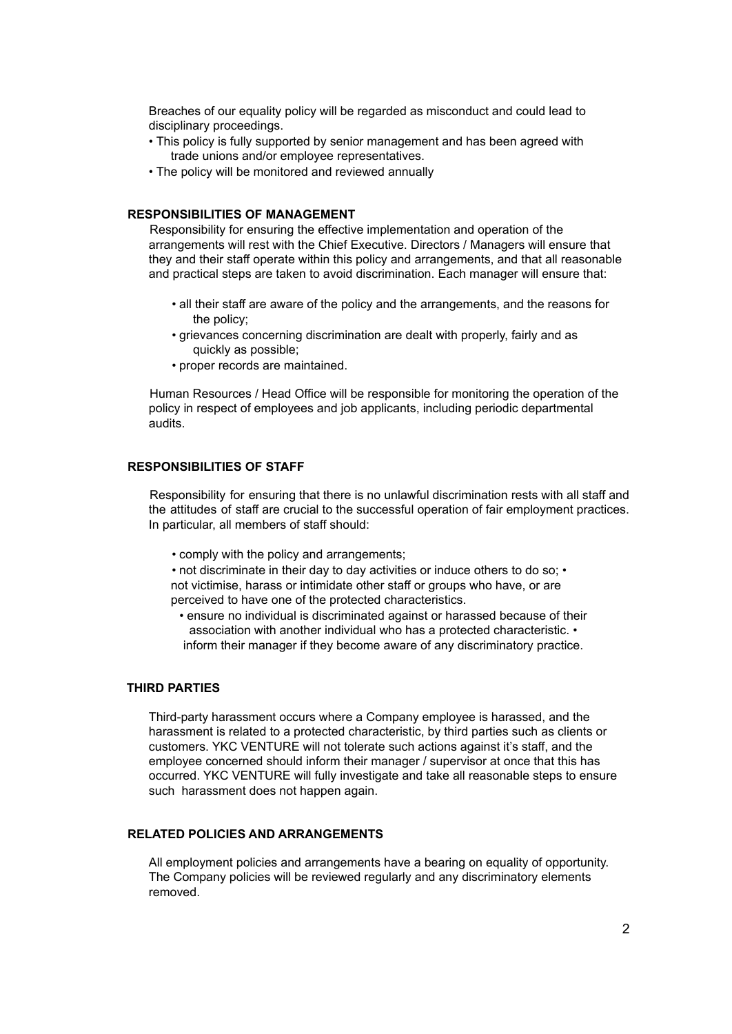Breaches of our equality policy will be regarded as misconduct and could lead to disciplinary proceedings.

- This policy is fully supported by senior management and has been agreed with trade unions and/or employee representatives.
- The policy will be monitored and reviewed annually

# **RESPONSIBILITIES OF MANAGEMENT**

Responsibility for ensuring the effective implementation and operation of the arrangements will rest with the Chief Executive. Directors / Managers will ensure that they and their staff operate within this policy and arrangements, and that all reasonable and practical steps are taken to avoid discrimination. Each manager will ensure that:

- all their staff are aware of the policy and the arrangements, and the reasons for the policy;
- grievances concerning discrimination are dealt with properly, fairly and as quickly as possible;
- proper records are maintained.

Human Resources / Head Office will be responsible for monitoring the operation of the policy in respect of employees and job applicants, including periodic departmental audits.

# **RESPONSIBILITIES OF STAFF**

Responsibility for ensuring that there is no unlawful discrimination rests with all staff and the attitudes of staff are crucial to the successful operation of fair employment practices. In particular, all members of staff should:

• comply with the policy and arrangements;

• not discriminate in their day to day activities or induce others to do so; • not victimise, harass or intimidate other staff or groups who have, or are perceived to have one of the protected characteristics.

• ensure no individual is discriminated against or harassed because of their association with another individual who has a protected characteristic. • inform their manager if they become aware of any discriminatory practice.

# **THIRD PARTIES**

Third-party harassment occurs where a Company employee is harassed, and the harassment is related to a protected characteristic, by third parties such as clients or customers. YKC VENTURE will not tolerate such actions against it's staff, and the employee concerned should inform their manager / supervisor at once that this has occurred. YKC VENTURE will fully investigate and take all reasonable steps to ensure such harassment does not happen again.

### **RELATED POLICIES AND ARRANGEMENTS**

All employment policies and arrangements have a bearing on equality of opportunity. The Company policies will be reviewed regularly and any discriminatory elements removed.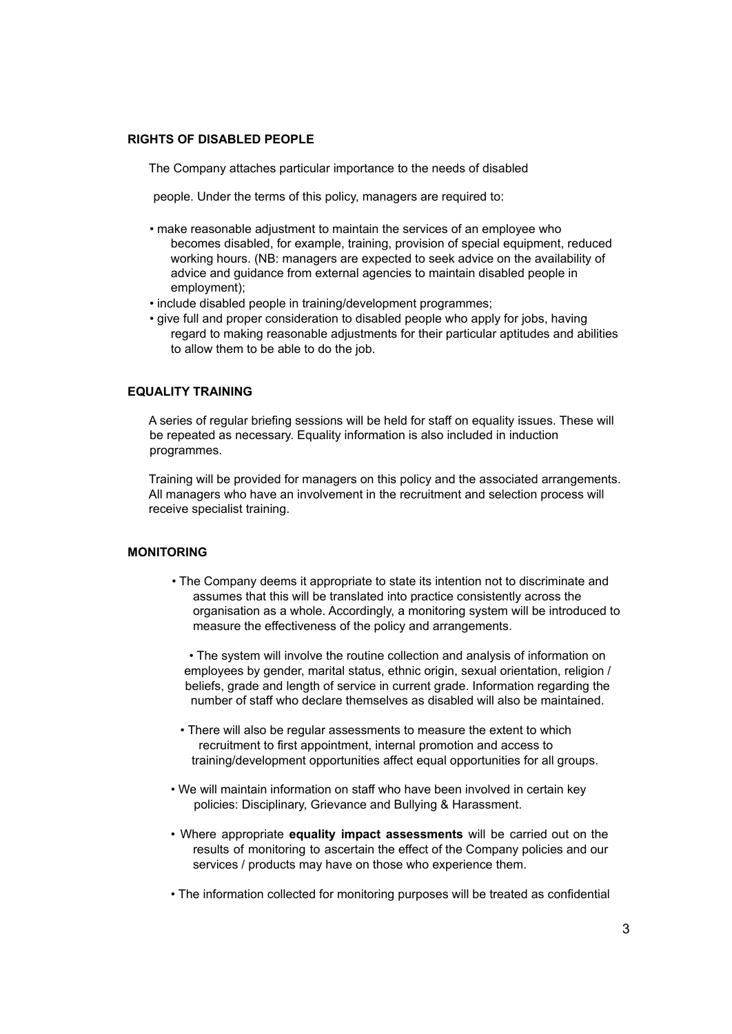### **RIGHTS OF DISABLED PEOPLE**

The Company attaches particular importance to the needs of disabled

people. Under the terms of this policy, managers are required to:

- make reasonable adjustment to maintain the services of an employee who becomes disabled, for example, training, provision of special equipment, reduced working hours. (NB: managers are expected to seek advice on the availability of advice and guidance from external agencies to maintain disabled people in employment);
- include disabled people in training/development programmes;
- give full and proper consideration to disabled people who apply for jobs, having regard to making reasonable adjustments for their particular aptitudes and abilities to allow them to be able to do the job.

# **EQUALITY TRAINING**

A series of regular briefing sessions will be held for staff on equality issues. These will be repeated as necessary. Equality information is also included in induction programmes.

Training will be provided for managers on this policy and the associated arrangements. All managers who have an involvement in the recruitment and selection process will receive specialist training.

### **MONITORING**

• The Company deems it appropriate to state its intention not to discriminate and assumes that this will be translated into practice consistently across the organisation as a whole. Accordingly, a monitoring system will be introduced to measure the effectiveness of the policy and arrangements.

• The system will involve the routine collection and analysis of information on employees by gender, marital status, ethnic origin, sexual orientation, religion / beliefs, grade and length of service in current grade. Information regarding the number of staff who declare themselves as disabled will also be maintained.

- There will also be regular assessments to measure the extent to which recruitment to first appointment, internal promotion and access to training/development opportunities affect equal opportunities for all groups.
- We will maintain information on staff who have been involved in certain key policies: Disciplinary, Grievance and Bullying & Harassment.
- Where appropriate **equality impact assessments** will be carried out on the results of monitoring to ascertain the effect of the Company policies and our services / products may have on those who experience them.
- The information collected for monitoring purposes will be treated as confidential